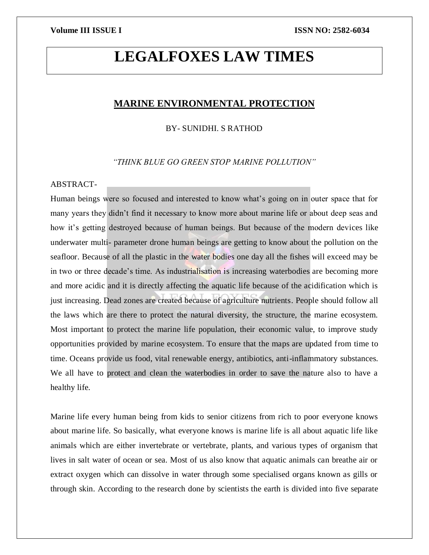# **LEGALFOXES LAW TIMES**

# **MARINE ENVIRONMENTAL PROTECTION**

BY- SUNIDHI. S RATHOD

*"THINK BLUE GO GREEN STOP MARINE POLLUTION"*

# ABSTRACT-

Human beings were so focused and interested to know what's going on in outer space that for many years they didn't find it necessary to know more about marine life or about deep seas and how it's getting destroyed because of human beings. But because of the modern devices like underwater multi- parameter drone human beings are getting to know about the pollution on the seafloor. Because of all the plastic in the water bodies one day all the fishes will exceed may be in two or three decade's time. As industrialisation is increasing waterbodies are becoming more and more acidic and it is directly affecting the aquatic life because of the acidification which is just increasing. Dead zones are created because of agriculture nutrients. People should follow all the laws which are there to protect the natural diversity, the structure, the marine ecosystem. Most important to protect the marine life population, their economic value, to improve study opportunities provided by marine ecosystem. To ensure that the maps are updated from time to time. Oceans provide us food, vital renewable energy, antibiotics, anti-inflammatory substances. We all have to protect and clean the waterbodies in order to save the nature also to have a healthy life.

Marine life every human being from kids to senior citizens from rich to poor everyone knows about marine life. So basically, what everyone knows is marine life is all about aquatic life like animals which are either invertebrate or vertebrate, plants, and various types of organism that lives in salt water of ocean or sea. Most of us also know that aquatic animals can breathe air or extract oxygen which can dissolve in water through some specialised organs known as gills or through skin. According to the research done by scientists the earth is divided into five separate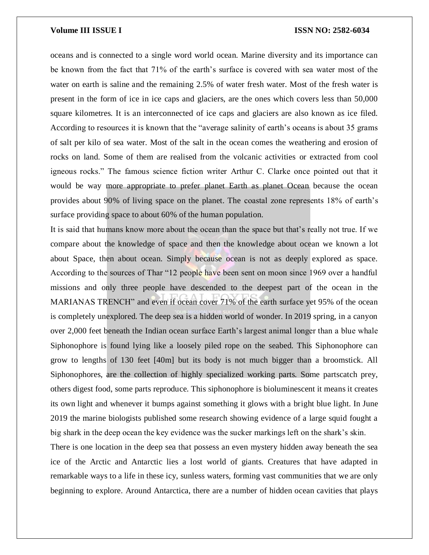oceans and is connected to a single word world ocean. Marine diversity and its importance can be known from the fact that 71% of the earth's surface is covered with sea water most of the water on earth is saline and the remaining 2.5% of water fresh water. Most of the fresh water is present in the form of ice in ice caps and glaciers, are the ones which covers less than 50,000 square kilometres. It is an interconnected of ice caps and glaciers are also known as ice filed. According to resources it is known that the "average salinity of earth's oceans is about 35 grams of salt per kilo of sea water. Most of the salt in the ocean comes the weathering and erosion of rocks on land. Some of them are realised from the volcanic activities or extracted from cool igneous rocks." The famous science fiction writer Arthur C. Clarke once pointed out that it would be way more appropriate to prefer planet Earth as planet Ocean because the ocean provides about 90% of living space on the planet. The coastal zone represents 18% of earth's surface providing space to about 60% of the human population.

It is said that humans know more about the ocean than the space but that's really not true. If we compare about the knowledge of space and then the knowledge about ocean we known a lot about Space, then about ocean. Simply because ocean is not as deeply explored as space. According to the sources of Thar "12 people have been sent on moon since 1969 over a handful missions and only three people have descended to the deepest part of the ocean in the MARIANAS TRENCH" and even if ocean cover 71% of the earth surface yet 95% of the ocean is completely unexplored. The deep sea is a hidden world of wonder. In 2019 spring, in a canyon over 2,000 feet beneath the Indian ocean surface Earth's largest animal longer than a blue whale Siphonophore is found lying like a loosely piled rope on the seabed. This Siphonophore can grow to lengths of 130 feet [40m] but its body is not much bigger than a broomstick. All Siphonophores, are the collection of highly specialized working parts. Some partscatch prey, others digest food, some parts reproduce. This siphonophore is bioluminescent it means it creates its own light and whenever it bumps against something it glows with a bright blue light. In June 2019 the marine biologists published some research showing evidence of a large squid fought a big shark in the deep ocean the key evidence was the sucker markings left on the shark's skin.

There is one location in the deep sea that possess an even mystery hidden away beneath the sea ice of the Arctic and Antarctic lies a lost world of giants. Creatures that have adapted in remarkable ways to a life in these icy, sunless waters, forming vast communities that we are only beginning to explore. Around Antarctica, there are a number of hidden ocean cavities that plays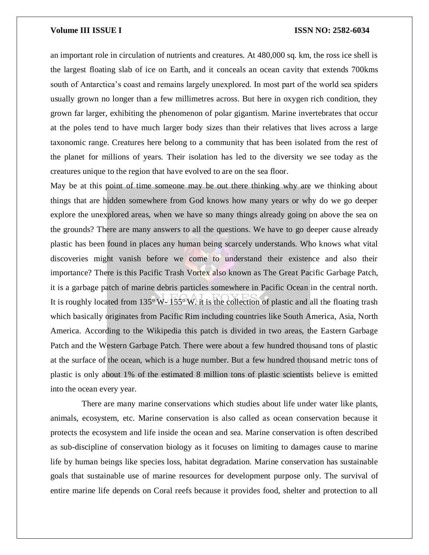an important role in circulation of nutrients and creatures. At 480,000 sq. km, the ross ice shell is the largest floating slab of ice on Earth, and it conceals an ocean cavity that extends 700kms south of Antarctica's coast and remains largely unexplored. In most part of the world sea spiders usually grown no longer than a few millimetres across. But here in oxygen rich condition, they grown far larger, exhibiting the phenomenon of polar gigantism. Marine invertebrates that occur at the poles tend to have much larger body sizes than their relatives that lives across a large taxonomic range. Creatures here belong to a community that has been isolated from the rest of the planet for millions of years. Their isolation has led to the diversity we see today as the creatures unique to the region that have evolved to are on the sea floor.

May be at this point of time someone may be out there thinking why are we thinking about things that are hidden somewhere from God knows how many years or why do we go deeper explore the unexplored areas, when we have so many things already going on above the sea on the grounds? There are many answers to all the questions. We have to go deeper cause already plastic has been found in places any human being scarcely understands. Who knows what vital discoveries might vanish before we come to understand their existence and also their importance? There is this Pacific Trash Vortex also known as The Great Pacific Garbage Patch, it is a garbage patch of marine debris particles somewhere in Pacific Ocean in the central north. It is roughly located from  $135^{\circ}$  W-  $155^{\circ}$  W. it is the collection of plastic and all the floating trash which basically originates from Pacific Rim including countries like South America, Asia, North America. According to the Wikipedia this patch is divided in two areas, the Eastern Garbage Patch and the Western Garbage Patch. There were about a few hundred thousand tons of plastic at the surface of the ocean, which is a huge number. But a few hundred thousand metric tons of plastic is only about 1% of the estimated 8 million tons of plastic scientists believe is emitted into the ocean every year.

 There are many marine conservations which studies about life under water like plants, animals, ecosystem, etc. Marine conservation is also called as ocean conservation because it protects the ecosystem and life inside the ocean and sea. Marine conservation is often described as sub-discipline of conservation biology as it focuses on limiting to damages cause to marine life by human beings like species loss, habitat degradation. Marine conservation has sustainable goals that sustainable use of marine resources for development purpose only. The survival of entire marine life depends on Coral reefs because it provides food, shelter and protection to all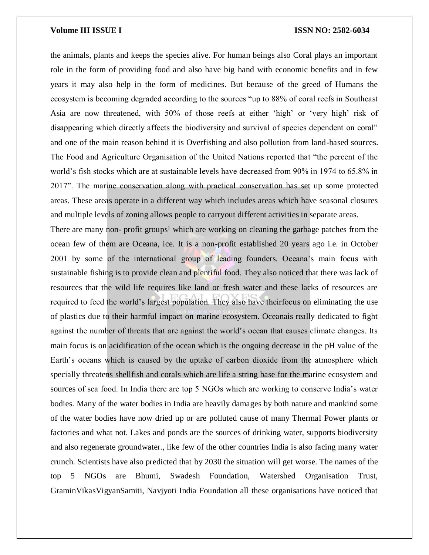the animals, plants and keeps the species alive. For human beings also Coral plays an important role in the form of providing food and also have big hand with economic benefits and in few years it may also help in the form of medicines. But because of the greed of Humans the ecosystem is becoming degraded according to the sources "up to 88% of coral reefs in Southeast Asia are now threatened, with 50% of those reefs at either 'high' or 'very high' risk of disappearing which directly affects the biodiversity and survival of species dependent on coral" and one of the main reason behind it is Overfishing and also pollution from land-based sources. The Food and Agriculture Organisation of the United Nations reported that "the percent of the world's fish stocks which are at sustainable levels have decreased from 90% in 1974 to 65.8% in 2017". The marine conservation along with practical conservation has set up some protected areas. These areas operate in a different way which includes areas which have seasonal closures and multiple levels of zoning allows people to carryout different activities in separate areas.

There are many non- profit groups<sup>1</sup> which are working on cleaning the garbage patches from the ocean few of them are Oceana, ice. It is a non-profit established 20 years ago i.e. in October 2001 by some of the international group of leading founders. Oceana's main focus with sustainable fishing is to provide clean and plentiful food. They also noticed that there was lack of resources that the wild life requires like land or fresh water and these lacks of resources are required to feed the world's largest population. They also have theirfocus on eliminating the use of plastics due to their harmful impact on marine ecosystem. Oceanais really dedicated to fight against the number of threats that are against the world's ocean that causes climate changes. Its main focus is on acidification of the ocean which is the ongoing decrease in the pH value of the Earth's oceans which is caused by the uptake of carbon dioxide from the atmosphere which specially threatens shellfish and corals which are life a string base for the marine ecosystem and sources of sea food. In India there are top 5 NGOs which are working to conserve India's water bodies. Many of the water bodies in India are heavily damages by both nature and mankind some of the water bodies have now dried up or are polluted cause of many Thermal Power plants or factories and what not. Lakes and ponds are the sources of drinking water, supports biodiversity and also regenerate groundwater., like few of the other countries India is also facing many water crunch. Scientists have also predicted that by 2030 the situation will get worse. The names of the top 5 NGOs are Bhumi, Swadesh Foundation, Watershed Organisation Trust, GraminVikasVigyanSamiti, Navjyoti India Foundation all these organisations have noticed that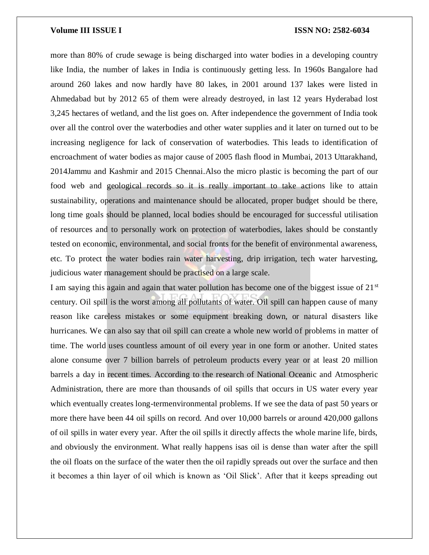more than 80% of crude sewage is being discharged into water bodies in a developing country like India, the number of lakes in India is continuously getting less. In 1960s Bangalore had around 260 lakes and now hardly have 80 lakes, in 2001 around 137 lakes were listed in Ahmedabad but by 2012 65 of them were already destroyed, in last 12 years Hyderabad lost 3,245 hectares of wetland, and the list goes on. After independence the government of India took over all the control over the waterbodies and other water supplies and it later on turned out to be increasing negligence for lack of conservation of waterbodies. This leads to identification of encroachment of water bodies as major cause of 2005 flash flood in Mumbai, 2013 Uttarakhand, 2014Jammu and Kashmir and 2015 Chennai.Also the micro plastic is becoming the part of our food web and geological records so it is really important to take actions like to attain sustainability, operations and maintenance should be allocated, proper budget should be there, long time goals should be planned, local bodies should be encouraged for successful utilisation of resources and to personally work on protection of waterbodies, lakes should be constantly tested on economic, environmental, and social fronts for the benefit of environmental awareness, etc. To protect the water bodies rain water harvesting, drip irrigation, tech water harvesting, judicious water management should be practised on a large scale.

I am saying this again and again that water pollution has become one of the biggest issue of 21<sup>st</sup> century. Oil spill is the worst among all pollutants of water. Oil spill can happen cause of many reason like careless mistakes or some equipment breaking down, or natural disasters like hurricanes. We can also say that oil spill can create a whole new world of problems in matter of time. The world uses countless amount of oil every year in one form or another. United states alone consume over 7 billion barrels of petroleum products every year or at least 20 million barrels a day in recent times. According to the research of National Oceanic and Atmospheric Administration, there are more than thousands of oil spills that occurs in US water every year which eventually creates long-termenvironmental problems. If we see the data of past 50 years or more there have been 44 oil spills on record. And over 10,000 barrels or around 420,000 gallons of oil spills in water every year. After the oil spills it directly affects the whole marine life, birds, and obviously the environment. What really happens isas oil is dense than water after the spill the oil floats on the surface of the water then the oil rapidly spreads out over the surface and then it becomes a thin layer of oil which is known as 'Oil Slick'. After that it keeps spreading out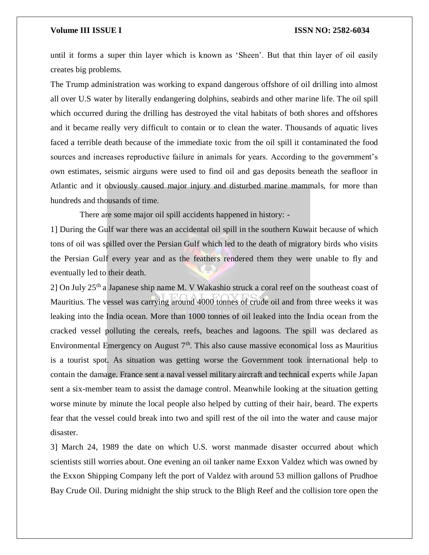until it forms a super thin layer which is known as 'Sheen'. But that thin layer of oil easily creates big problems.

The Trump administration was working to expand dangerous offshore of oil drilling into almost all over U.S water by literally endangering dolphins, seabirds and other marine life. The oil spill which occurred during the drilling has destroyed the vital habitats of both shores and offshores and it became really very difficult to contain or to clean the water. Thousands of aquatic lives faced a terrible death because of the immediate toxic from the oil spill it contaminated the food sources and increases reproductive failure in animals for years. According to the government's own estimates, seismic airguns were used to find oil and gas deposits beneath the seafloor in Atlantic and it obviously caused major injury and disturbed marine mammals, for more than hundreds and thousands of time.

There are some major oil spill accidents happened in history: -

1] During the Gulf war there was an accidental oil spill in the southern Kuwait because of which tons of oil was spilled over the Persian Gulf which led to the death of migratory birds who visits the Persian Gulf every year and as the feathers rendered them they were unable to fly and eventually led to their death.

2] On July 25th a Japanese ship name M. V Wakashio struck a coral reef on the southeast coast of Mauritius. The vessel was carrying around 4000 tonnes of crude oil and from three weeks it was leaking into the India ocean. More than 1000 tonnes of oil leaked into the India ocean from the cracked vessel polluting the cereals, reefs, beaches and lagoons. The spill was declared as Environmental Emergency on August  $7<sup>th</sup>$ . This also cause massive economical loss as Mauritius is a tourist spot. As situation was getting worse the Government took international help to contain the damage. France sent a naval vessel military aircraft and technical experts while Japan sent a six-member team to assist the damage control. Meanwhile looking at the situation getting worse minute by minute the local people also helped by cutting of their hair, beard. The experts fear that the vessel could break into two and spill rest of the oil into the water and cause major disaster.

3] March 24, 1989 the date on which U.S. worst manmade disaster occurred about which scientists still worries about. One evening an oil tanker name Exxon Valdez which was owned by the Exxon Shipping Company left the port of Valdez with around 53 million gallons of Prudhoe Bay Crude Oil. During midnight the ship struck to the Bligh Reef and the collision tore open the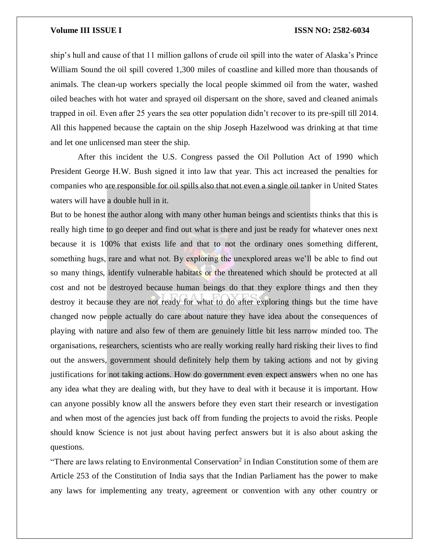ship's hull and cause of that 11 million gallons of crude oil spill into the water of Alaska's Prince William Sound the oil spill covered 1,300 miles of coastline and killed more than thousands of animals. The clean-up workers specially the local people skimmed oil from the water, washed oiled beaches with hot water and sprayed oil dispersant on the shore, saved and cleaned animals trapped in oil. Even after 25 years the sea otter population didn't recover to its pre-spill till 2014. All this happened because the captain on the ship Joseph Hazelwood was drinking at that time and let one unlicensed man steer the ship.

 After this incident the U.S. Congress passed the Oil Pollution Act of 1990 which President George H.W. Bush signed it into law that year. This act increased the penalties for companies who are responsible for oil spills also that not even a single oil tanker in United States waters will have a double hull in it.

But to be honest the author along with many other human beings and scientists thinks that this is really high time to go deeper and find out what is there and just be ready for whatever ones next because it is 100% that exists life and that to not the ordinary ones something different, something hugs, rare and what not. By exploring the unexplored areas we'll be able to find out so many things, identify vulnerable habitats or the threatened which should be protected at all cost and not be destroyed because human beings do that they explore things and then they destroy it because they are not ready for what to do after exploring things but the time have changed now people actually do care about nature they have idea about the consequences of playing with nature and also few of them are genuinely little bit less narrow minded too. The organisations, researchers, scientists who are really working really hard risking their lives to find out the answers, government should definitely help them by taking actions and not by giving justifications for not taking actions. How do government even expect answers when no one has any idea what they are dealing with, but they have to deal with it because it is important. How can anyone possibly know all the answers before they even start their research or investigation and when most of the agencies just back off from funding the projects to avoid the risks. People should know Science is not just about having perfect answers but it is also about asking the questions.

"There are laws relating to Environmental Conservation<sup>2</sup> in Indian Constitution some of them are Article 253 of the Constitution of India says that the Indian Parliament has the power to make any laws for implementing any treaty, agreement or convention with any other country or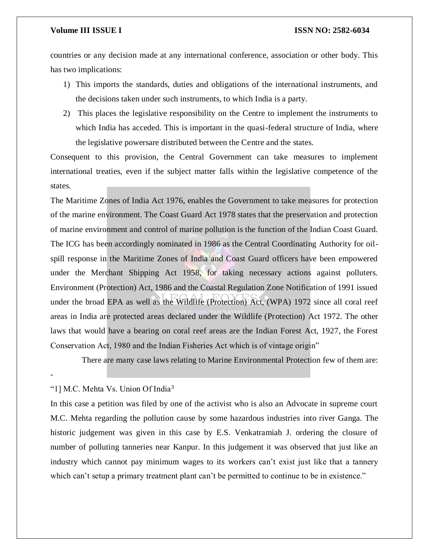countries or any decision made at any international conference, association or other body. This has two implications:

- 1) This imports the standards, duties and obligations of the international instruments, and the decisions taken under such instruments, to which India is a party.
- 2) This places the legislative responsibility on the Centre to implement the instruments to which India has acceded. This is important in the quasi-federal structure of India, where the legislative powersare distributed between the Centre and the states.

Consequent to this provision, the Central Government can take measures to implement international treaties, even if the subject matter falls within the legislative competence of the states.

The Maritime Zones of India Act 1976, enables the Government to take measures for protection of the marine environment. The Coast Guard Act 1978 states that the preservation and protection of marine environment and control of marine pollution is the function of the Indian Coast Guard. The ICG has been accordingly nominated in 1986 as the Central Coordinating Authority for oilspill response in the Maritime Zones of India and Coast Guard officers have been empowered under the Merchant Shipping Act 1958, for taking necessary actions against polluters. Environment (Protection) Act, 1986 and the Coastal Regulation Zone Notification of 1991 issued under the broad EPA as well as the Wildlife (Protection) Act, (WPA) 1972 since all coral reef areas in India are protected areas declared under the Wildlife (Protection) Act 1972. The other laws that would have a bearing on coral reef areas are the Indian Forest Act, 1927, the Forest Conservation Act, 1980 and the Indian Fisheries Act which is of vintage origin"

There are many case laws relating to Marine Environmental Protection few of them are:

# "1] M.C. Mehta Vs. Union Of India<sup>3</sup>

-

In this case a petition was filed by one of the activist who is also an Advocate in supreme court M.C. Mehta regarding the pollution cause by some hazardous industries into river Ganga. The historic judgement was given in this case by E.S. Venkatramiah J. ordering the closure of number of polluting tanneries near Kanpur. In this judgement it was observed that just like an industry which cannot pay minimum wages to its workers can't exist just like that a tannery which can't setup a primary treatment plant can't be permitted to continue to be in existence."